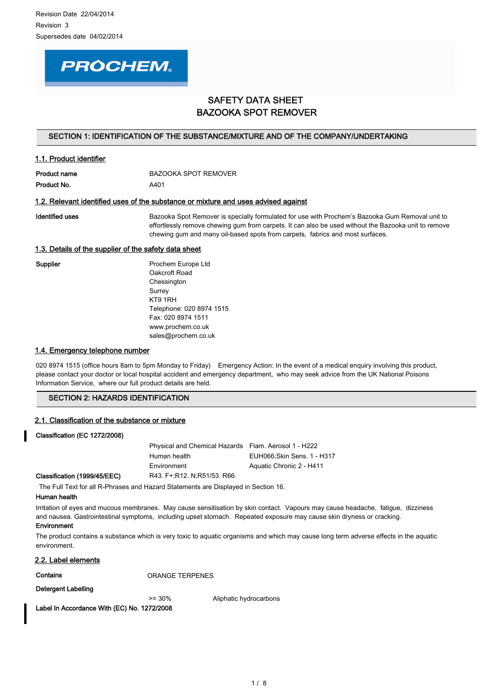

# SAFETY DATA SHEET BAZOOKA SPOT REMOVER

# SECTION 1: IDENTIFICATION OF THE SUBSTANCE/MIXTURE AND OF THE COMPANY/UNDERTAKING

| <u>III. FIUUUU IUCHIIIICI</u> |                             |
|-------------------------------|-----------------------------|
| Product name                  | <b>BAZOOKA SPOT REMOVER</b> |
| Product No.                   | A401                        |

### 1.2. Relevant identified uses of the substance or mixture and uses advised against

1.1. Product identifier

Identified uses **Bazooka Spot Remover is specially formulated for use with Prochem's Bazooka Gum Removal unit to** effortlessly remove chewing gum from carpets. It can also be used without the Bazooka unit to remove chewing gum and many oil-based spots from carpets, fabrics and most surfaces.

# 1.3. Details of the supplier of the safety data sheet

Supplier **Prochem Europe Ltd** Oakcroft Road Chessington Surrey KT9 1RH Telephone: 020 8974 1515 Fax: 020 8974 1511 www.prochem.co.uk sales@prochem.co.uk

### 1.4. Emergency telephone number

020 8974 1515 (office hours 8am to 5pm Monday to Friday) Emergency Action: In the event of a medical enguiry involving this product, please contact your doctor or local hospital accident and emergency department, who may seek advice from the UK National Poisons Information Service, where our full product details are held.

### SECTION 2: HAZARDS IDENTIFICATION

### 2.1. Classification of the substance or mixture

### Classification (EC 1272/2008)

Physical and Chemical Hazards Flam. Aerosol 1 - H222 Human health EUH066;Skin Sens. 1 - H317 Environment Aquatic Chronic 2 - H411 Classification (1999/45/EEC) R43. F+;R12. N;R51/53. R66.

The Full Text for all R-Phrases and Hazard Statements are Displayed in Section 16.

### Human health

Irritation of eyes and mucous membranes. May cause sensitisation by skin contact. Vapours may cause headache, fatigue, dizziness and nausea. Gastrointestinal symptoms, including upset stomach. Repeated exposure may cause skin dryness or cracking. Environment

The product contains a substance which is very toxic to aquatic organisms and which may cause long term adverse effects in the aquatic environment.

### 2.2. Label elements

Contains **Contains** ORANGE TERPENES

#### Detergent Labelling

>= 30% Aliphatic hydrocarbons

Label In Accordance With (EC) No. 1272/2008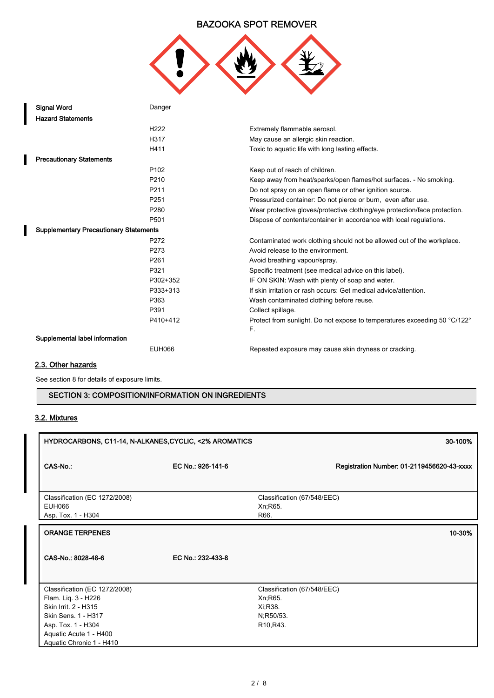

| <b>Signal Word</b>                            | Danger           |                                                                                 |
|-----------------------------------------------|------------------|---------------------------------------------------------------------------------|
| <b>Hazard Statements</b>                      |                  |                                                                                 |
|                                               | H <sub>222</sub> | Extremely flammable aerosol.                                                    |
|                                               | H317             | May cause an allergic skin reaction.                                            |
|                                               | H411             | Toxic to aquatic life with long lasting effects.                                |
| <b>Precautionary Statements</b>               |                  |                                                                                 |
|                                               | P <sub>102</sub> | Keep out of reach of children.                                                  |
|                                               | P <sub>210</sub> | Keep away from heat/sparks/open flames/hot surfaces. - No smoking.              |
|                                               | P <sub>211</sub> | Do not spray on an open flame or other ignition source.                         |
|                                               | P <sub>251</sub> | Pressurized container: Do not pierce or burn, even after use.                   |
|                                               | P <sub>280</sub> | Wear protective gloves/protective clothing/eye protection/face protection.      |
|                                               | P501             | Dispose of contents/container in accordance with local regulations.             |
| <b>Supplementary Precautionary Statements</b> |                  |                                                                                 |
|                                               | P272             | Contaminated work clothing should not be allowed out of the workplace.          |
|                                               | P273             | Avoid release to the environment.                                               |
|                                               | P <sub>261</sub> | Avoid breathing vapour/spray.                                                   |
|                                               | P321             | Specific treatment (see medical advice on this label).                          |
|                                               | P302+352         | IF ON SKIN: Wash with plenty of soap and water.                                 |
|                                               | P333+313         | If skin irritation or rash occurs: Get medical advice/attention.                |
|                                               | P363             | Wash contaminated clothing before reuse.                                        |
|                                               | P391             | Collect spillage.                                                               |
|                                               | P410+412         | Protect from sunlight. Do not expose to temperatures exceeding 50 °C/122°<br>F. |
| Supplemental label information                |                  |                                                                                 |
|                                               | EUH066           | Repeated exposure may cause skin dryness or cracking.                           |
|                                               |                  |                                                                                 |

# 2.3. Other hazards

See section 8 for details of exposure limits.

# SECTION 3: COMPOSITION/INFORMATION ON INGREDIENTS

# 3.2. Mixtures

Ï

| HYDROCARBONS, C11-14, N-ALKANES, CYCLIC, <2% AROMATICS |                   | 30-100%                                          |
|--------------------------------------------------------|-------------------|--------------------------------------------------|
| CAS-No.:                                               | EC No.: 926-141-6 | Registration Number: 01-2119456620-43-xxxx       |
| Classification (EC 1272/2008)<br>EUH066                |                   | Classification (67/548/EEC)<br>Xn; R65.          |
| Asp. Tox. 1 - H304                                     |                   | R66.                                             |
| <b>ORANGE TERPENES</b>                                 |                   | 10-30%                                           |
| CAS-No.: 8028-48-6                                     | EC No.: 232-433-8 |                                                  |
| Classification (EC 1272/2008)                          |                   | Classification (67/548/EEC)                      |
| Flam. Liq. 3 - H226                                    |                   | Xn, R65.                                         |
| Skin Irrit. 2 - H315                                   |                   | Xi, R38.                                         |
| Skin Sens. 1 - H317<br>Asp. Tox. 1 - H304              |                   | N;R50/53.<br>R <sub>10</sub> , R <sub>43</sub> . |
| Aquatic Acute 1 - H400                                 |                   |                                                  |
| Aquatic Chronic 1 - H410                               |                   |                                                  |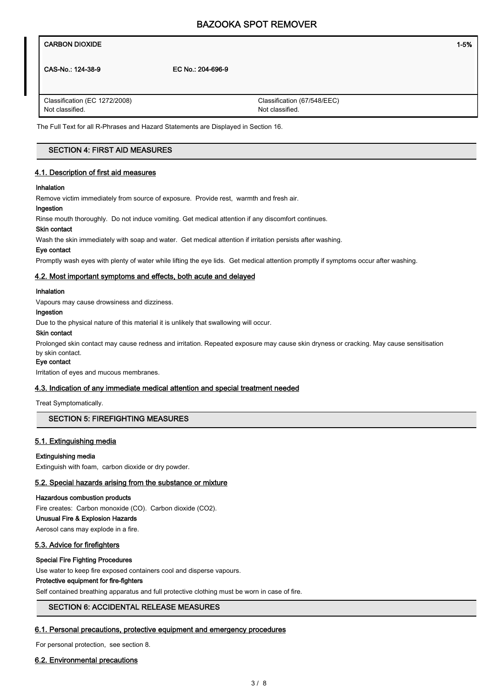| 1-5% |
|------|
|      |

CAS-No.: 124-38-9 EC No.: 204-696-9

Classification (EC 1272/2008) Not classified.

Classification (67/548/EEC) Not classified.

The Full Text for all R-Phrases and Hazard Statements are Displayed in Section 16.

# SECTION 4: FIRST AID MEASURES

# 4.1. Description of first aid measures

### Inhalation

Remove victim immediately from source of exposure. Provide rest, warmth and fresh air.

# Ingestion

Rinse mouth thoroughly. Do not induce vomiting. Get medical attention if any discomfort continues.

# Skin contact

Wash the skin immediately with soap and water. Get medical attention if irritation persists after washing.

#### Eye contact

Promptly wash eyes with plenty of water while lifting the eye lids. Get medical attention promptly if symptoms occur after washing.

### 4.2. Most important symptoms and effects, both acute and delayed

### Inhalation

Vapours may cause drowsiness and dizziness.

#### Ingestion

Due to the physical nature of this material it is unlikely that swallowing will occur.

### Skin contact

Prolonged skin contact may cause redness and irritation. Repeated exposure may cause skin dryness or cracking. May cause sensitisation by skin contact.

# Eye contact

Irritation of eyes and mucous membranes.

### 4.3. Indication of any immediate medical attention and special treatment needed

Treat Symptomatically.

# SECTION 5: FIREFIGHTING MEASURES

# 5.1. Extinguishing media

### Extinguishing media

Extinguish with foam, carbon dioxide or dry powder.

### 5.2. Special hazards arising from the substance or mixture

#### Hazardous combustion products

Fire creates: Carbon monoxide (CO). Carbon dioxide (CO2).

# Unusual Fire & Explosion Hazards

Aerosol cans may explode in a fire.

# 5.3. Advice for firefighters

### Special Fire Fighting Procedures

Use water to keep fire exposed containers cool and disperse vapours.

#### Protective equipment for fire-fighters

Self contained breathing apparatus and full protective clothing must be worn in case of fire.

# SECTION 6: ACCIDENTAL RELEASE MEASURES

# 6.1. Personal precautions, protective equipment and emergency procedures

For personal protection, see section 8.

# 6.2. Environmental precautions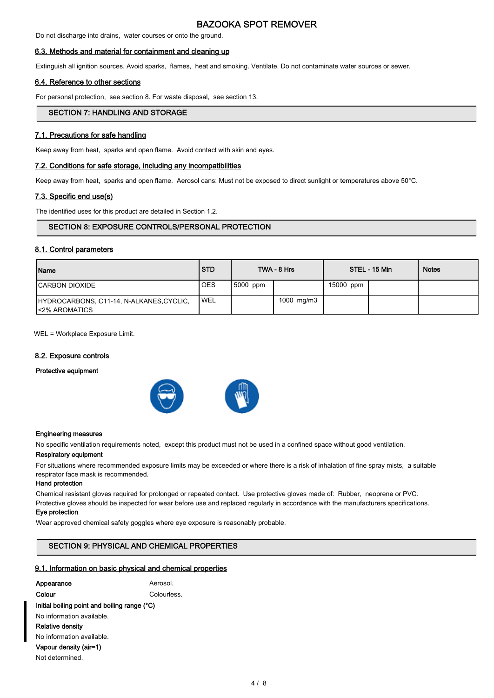Do not discharge into drains, water courses or onto the ground.

### 6.3. Methods and material for containment and cleaning up

Extinguish all ignition sources. Avoid sparks, flames, heat and smoking. Ventilate. Do not contaminate water sources or sewer.

#### 6.4. Reference to other sections

For personal protection, see section 8. For waste disposal, see section 13.

# SECTION 7: HANDLING AND STORAGE

#### 7.1. Precautions for safe handling

Keep away from heat, sparks and open flame. Avoid contact with skin and eyes.

### 7.2. Conditions for safe storage, including any incompatibilities

Keep away from heat, sparks and open flame. Aerosol cans: Must not be exposed to direct sunlight or temperatures above 50°C.

# 7.3. Specific end use(s)

The identified uses for this product are detailed in Section 1.2.

### SECTION 8: EXPOSURE CONTROLS/PERSONAL PROTECTION

# 8.1. Control parameters

| Name                                                               | <b>STD</b> |          | TWA - 8 Hrs |           | STEL - 15 Min | <b>Notes</b> |
|--------------------------------------------------------------------|------------|----------|-------------|-----------|---------------|--------------|
| <b>ICARBON DIOXIDE</b>                                             | <b>OES</b> | 5000 ppm |             | 15000 ppm |               |              |
| HYDROCARBONS, C11-14, N-ALKANES, CYCLIC,<br><b>I</b> <2% AROMATICS | <b>WEL</b> |          | 1000 mg/m3  |           |               |              |

WEL = Workplace Exposure Limit.

### 8.2. Exposure controls

### Protective equipment





#### Engineering measures

No specific ventilation requirements noted, except this product must not be used in a confined space without good ventilation.

#### Respiratory equipment

For situations where recommended exposure limits may be exceeded or where there is a risk of inhalation of fine spray mists, a suitable respirator face mask is recommended.

#### Hand protection

Chemical resistant gloves required for prolonged or repeated contact. Use protective gloves made of: Rubber, neoprene or PVC. Protective gloves should be inspected for wear before use and replaced regularly in accordance with the manufacturers specifications.

#### Eye protection

Wear approved chemical safety goggles where eye exposure is reasonably probable.

# SECTION 9: PHYSICAL AND CHEMICAL PROPERTIES

### 9.1. Information on basic physical and chemical properties

| Appearance                                   | Aerosol    |  |
|----------------------------------------------|------------|--|
| Colour                                       | Colourless |  |
| Initial boiling point and boiling range (°C) |            |  |
| No information available.                    |            |  |
| Relative density                             |            |  |
| No information available.                    |            |  |
| Vapour density (air=1)                       |            |  |
| Not determined.                              |            |  |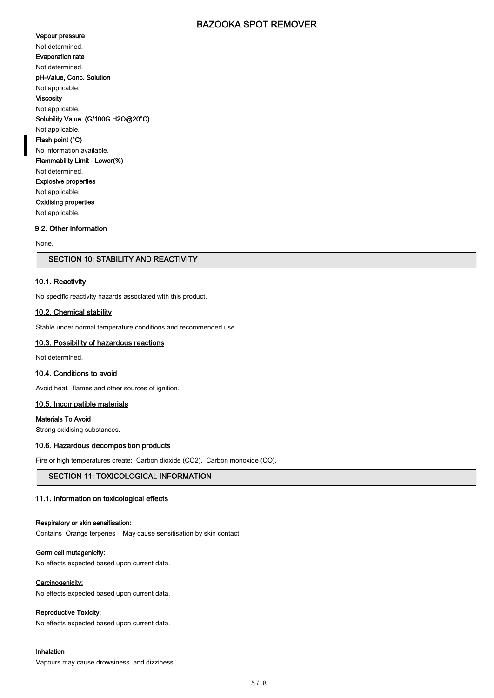#### Vapour pressure

Not determined.

Evaporation rate

Not determined.

pH-Value, Conc. Solution

Not applicable.

Viscosity

Not applicable. Solubility Value (G/100G H2O@20°C)

Not applicable. Flash point (°C)

No information available.

Flammability Limit - Lower(%)

Not determined. Explosive properties

Not applicable.

Oxidising properties

Not applicable.

# 9.2. Other information

None.

# SECTION 10: STABILITY AND REACTIVITY

# 10.1. Reactivity

No specific reactivity hazards associated with this product.

# 10.2. Chemical stability

Stable under normal temperature conditions and recommended use.

# 10.3. Possibility of hazardous reactions

Not determined.

# 10.4. Conditions to avoid

Avoid heat, flames and other sources of ignition.

### 10.5. Incompatible materials

Materials To Avoid

Strong oxidising substances.

# 10.6. Hazardous decomposition products

Fire or high temperatures create: Carbon dioxide (CO2). Carbon monoxide (CO).

# SECTION 11: TOXICOLOGICAL INFORMATION

# 11.1. Information on toxicological effects

### Respiratory or skin sensitisation:

Contains Orange terpenes May cause sensitisation by skin contact.

### Germ cell mutagenicity:

No effects expected based upon current data.

# Carcinogenicity:

No effects expected based upon current data.

# Reproductive Toxicity:

No effects expected based upon current data.

### Inhalation

Vapours may cause drowsiness and dizziness.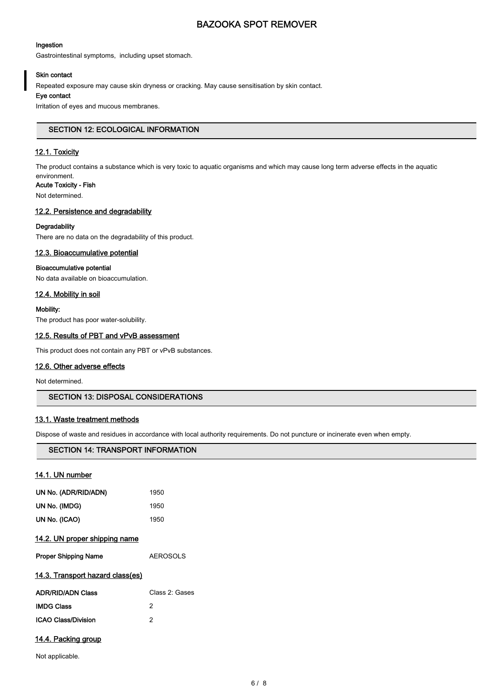### Ingestion

Gastrointestinal symptoms, including upset stomach.

# Skin contact

Repeated exposure may cause skin dryness or cracking. May cause sensitisation by skin contact.

# Eye contact

Irritation of eyes and mucous membranes.

# SECTION 12: ECOLOGICAL INFORMATION

# 12.1. Toxicity

The product contains a substance which is very toxic to aquatic organisms and which may cause long term adverse effects in the aquatic

#### environment. Acute Toxicity - Fish

Not determined.

# 12.2. Persistence and degradability

# **Degradability**

There are no data on the degradability of this product.

# 12.3. Bioaccumulative potential

# Bioaccumulative potential

No data available on bioaccumulation.

# 12.4. Mobility in soil

### Mobility:

The product has poor water-solubility.

# 12.5. Results of PBT and vPvB assessment

This product does not contain any PBT or vPvB substances.

# 12.6. Other adverse effects

Not determined.

# SECTION 13: DISPOSAL CONSIDERATIONS

# 13.1. Waste treatment methods

Dispose of waste and residues in accordance with local authority requirements. Do not puncture or incinerate even when empty.

# SECTION 14: TRANSPORT INFORMATION

| 14.1. UN number                      |                 |
|--------------------------------------|-----------------|
| UN No. (ADR/RID/ADN)                 | 1950            |
| UN No. (IMDG)                        | 1950            |
| UN No. (ICAO)                        | 1950            |
| <u>14.2. UN proper shipping name</u> |                 |
| <b>Proper Shipping Name</b>          | <b>AEROSOLS</b> |
| 14.3. Transport hazard class(es)     |                 |
| <b>ADR/RID/ADN Class</b>             | Class 2: Gases  |
| <b>IMDG Class</b>                    | 2               |
| <b>ICAO Class/Division</b>           | 2               |
| 14.4. Packing group                  |                 |

Not applicable.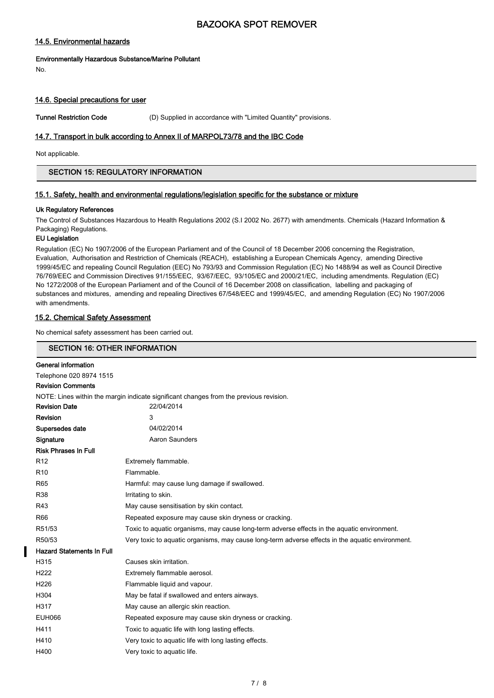# 14.5. Environmental hazards

# Environmentally Hazardous Substance/Marine Pollutant

No.

# 14.6. Special precautions for user

Tunnel Restriction Code (D) Supplied in accordance with "Limited Quantity" provisions.

# 14.7. Transport in bulk according to Annex II of MARPOL73/78 and the IBC Code

Not applicable.

# SECTION 15: REGULATORY INFORMATION

# 15.1. Safety, health and environmental regulations/legislation specific for the substance or mixture

### Uk Regulatory References

The Control of Substances Hazardous to Health Regulations 2002 (S.I 2002 No. 2677) with amendments. Chemicals (Hazard Information & Packaging) Regulations.

# EU Legislation

Regulation (EC) No 1907/2006 of the European Parliament and of the Council of 18 December 2006 concerning the Registration, Evaluation, Authorisation and Restriction of Chemicals (REACH), establishing a European Chemicals Agency, amending Directive 1999/45/EC and repealing Council Regulation (EEC) No 793/93 and Commission Regulation (EC) No 1488/94 as well as Council Directive 76/769/EEC and Commission Directives 91/155/EEC, 93/67/EEC, 93/105/EC and 2000/21/EC, including amendments. Regulation (EC) No 1272/2008 of the European Parliament and of the Council of 16 December 2008 on classification, labelling and packaging of substances and mixtures, amending and repealing Directives 67/548/EEC and 1999/45/EC, and amending Regulation (EC) No 1907/2006 with amendments.

### 15.2. Chemical Safety Assessment

No chemical safety assessment has been carried out.

| <b>SECTION 16: OTHER INFORMATION</b>                                                   |                                                                                                  |  |  |  |  |
|----------------------------------------------------------------------------------------|--------------------------------------------------------------------------------------------------|--|--|--|--|
| General information                                                                    |                                                                                                  |  |  |  |  |
| Telephone 020 8974 1515                                                                |                                                                                                  |  |  |  |  |
| <b>Revision Comments</b>                                                               |                                                                                                  |  |  |  |  |
| NOTE: Lines within the margin indicate significant changes from the previous revision. |                                                                                                  |  |  |  |  |
| <b>Revision Date</b>                                                                   | 22/04/2014                                                                                       |  |  |  |  |
| Revision                                                                               | 3                                                                                                |  |  |  |  |
| Supersedes date                                                                        | 04/02/2014                                                                                       |  |  |  |  |
| Signature                                                                              | Aaron Saunders                                                                                   |  |  |  |  |
| <b>Risk Phrases In Full</b>                                                            |                                                                                                  |  |  |  |  |
| R <sub>12</sub>                                                                        | Extremely flammable.                                                                             |  |  |  |  |
| R <sub>10</sub>                                                                        | Flammable.                                                                                       |  |  |  |  |
| R65                                                                                    | Harmful: may cause lung damage if swallowed.                                                     |  |  |  |  |
| <b>R38</b>                                                                             | Irritating to skin.                                                                              |  |  |  |  |
| R43                                                                                    | May cause sensitisation by skin contact.                                                         |  |  |  |  |
| R66                                                                                    | Repeated exposure may cause skin dryness or cracking.                                            |  |  |  |  |
| R51/53                                                                                 | Toxic to aquatic organisms, may cause long-term adverse effects in the aquatic environment.      |  |  |  |  |
| R50/53                                                                                 | Very toxic to aquatic organisms, may cause long-term adverse effects in the aquatic environment. |  |  |  |  |
| <b>Hazard Statements In Full</b>                                                       |                                                                                                  |  |  |  |  |
| H315                                                                                   | Causes skin irritation.                                                                          |  |  |  |  |
| H <sub>222</sub>                                                                       | Extremely flammable aerosol.                                                                     |  |  |  |  |
| H226                                                                                   | Flammable liquid and vapour.                                                                     |  |  |  |  |
| H304                                                                                   | May be fatal if swallowed and enters airways.                                                    |  |  |  |  |
| H317                                                                                   | May cause an allergic skin reaction.                                                             |  |  |  |  |
| <b>EUH066</b>                                                                          | Repeated exposure may cause skin dryness or cracking.                                            |  |  |  |  |
| H411                                                                                   | Toxic to aquatic life with long lasting effects.                                                 |  |  |  |  |
| H410                                                                                   | Very toxic to aquatic life with long lasting effects.                                            |  |  |  |  |
| H400                                                                                   | Very toxic to aquatic life.                                                                      |  |  |  |  |